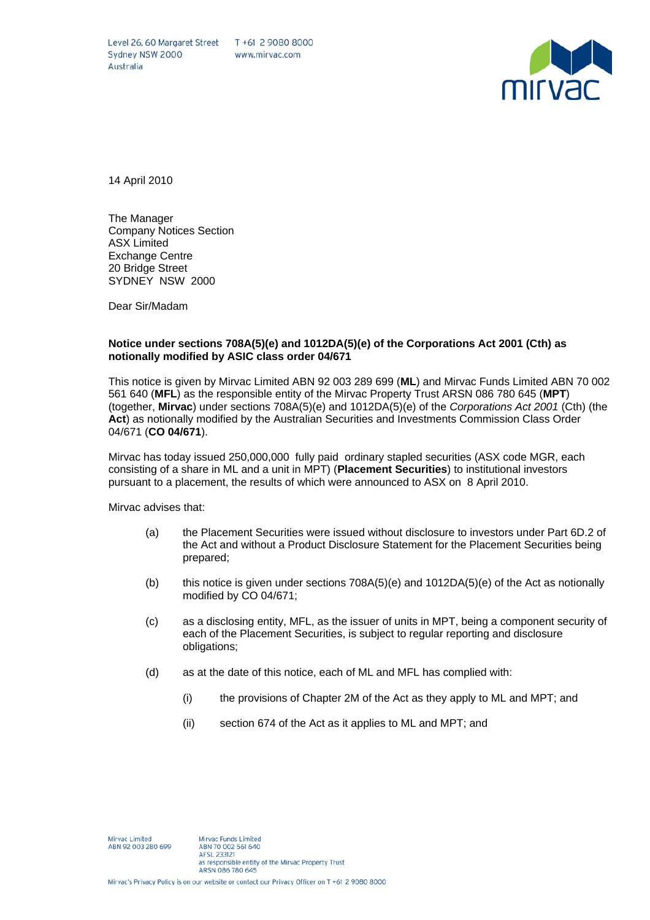Level 26, 60 Margaret Street T +61 2 9080 8000 Sydney NSW 2000 Australia

www.mirvac.com



14 April 2010

The Manager Company Notices Section ASX Limited Exchange Centre 20 Bridge Street SYDNEY NSW 2000

Dear Sir/Madam

## **Notice under sections 708A(5)(e) and 1012DA(5)(e) of the Corporations Act 2001 (Cth) as notionally modified by ASIC class order 04/671**

This notice is given by Mirvac Limited ABN 92 003 289 699 (**ML**) and Mirvac Funds Limited ABN 70 002 561 640 (**MFL**) as the responsible entity of the Mirvac Property Trust ARSN 086 780 645 (**MPT**) (together, **Mirvac**) under sections 708A(5)(e) and 1012DA(5)(e) of the *Corporations Act 2001* (Cth) (the **Act**) as notionally modified by the Australian Securities and Investments Commission Class Order 04/671 (**CO 04/671**).

Mirvac has today issued 250,000,000 fully paid ordinary stapled securities (ASX code MGR, each consisting of a share in ML and a unit in MPT) (**Placement Securities**) to institutional investors pursuant to a placement, the results of which were announced to ASX on 8 April 2010.

Mirvac advises that:

- (a) the Placement Securities were issued without disclosure to investors under Part 6D.2 of the Act and without a Product Disclosure Statement for the Placement Securities being prepared;
- (b) this notice is given under sections 708A(5)(e) and 1012DA(5)(e) of the Act as notionally modified by CO 04/671;
- (c) as a disclosing entity, MFL, as the issuer of units in MPT, being a component security of each of the Placement Securities, is subject to regular reporting and disclosure obligations;
- (d) as at the date of this notice, each of ML and MFL has complied with:
	- (i) the provisions of Chapter 2M of the Act as they apply to ML and MPT; and
	- (ii) section 674 of the Act as it applies to ML and MPT; and